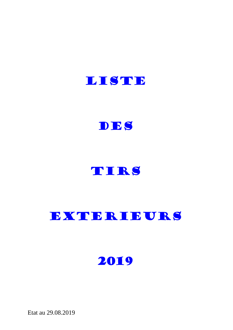



# TIRS

# EXTERIEURS

2019

Etat au 29.08.2019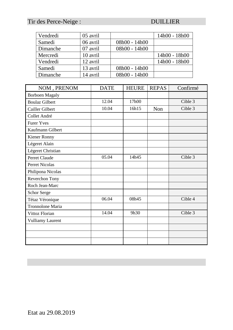# Tir des Perce-Neige : DUILLIER

| Vendredi | 05 avril |                 | 14h00 - 18h00 |
|----------|----------|-----------------|---------------|
| Samedi   | 06 avril | 08h00 - 14h00   |               |
| Dimanche | 07 avril | 08h00 - 14h00   |               |
| Mercredi | 10 avril |                 | 14h00 - 18h00 |
| Vendredi | 12 avril |                 | 14h00 - 18h00 |
| Samedi   | 13 avril | 08h00 - 14h00   |               |
| Dimanche | 14 avril | $08h00 - 14h00$ |               |

| NOM, PRENOM             | <b>DATE</b> | <b>HEURE</b> | <b>REPAS</b> | Confirmé |
|-------------------------|-------------|--------------|--------------|----------|
| <b>Borboen Magaly</b>   |             |              |              |          |
| <b>Boulaz Gilbert</b>   | 12.04       | 17h00        |              | Cible 3  |
| <b>Cailler Gilbert</b>  | 10.04       | 16h15        | Non          | Cible 3  |
| Collet André            |             |              |              |          |
| <b>Furer Yves</b>       |             |              |              |          |
| Kaufmann Gilbert        |             |              |              |          |
| Kiener Ronny            |             |              |              |          |
| Légeret Alain           |             |              |              |          |
| Légeret Christian       |             |              |              |          |
| Perret Claude           | 05.04       | 14h45        |              | Cible 3  |
| <b>Perret Nicolas</b>   |             |              |              |          |
| Philipona Nicolas       |             |              |              |          |
| Reverchon Tony          |             |              |              |          |
| Roch Jean-Marc          |             |              |              |          |
| <b>Schor Serge</b>      |             |              |              |          |
| Tétaz Véronique         | 06.04       | 08h45        |              | Cible 4  |
| Tronnolone Maria        |             |              |              |          |
| Vittoz Florian          | 14.04       | 9h30         |              | Cible 3  |
| <b>Vulliamy Laurent</b> |             |              |              |          |
|                         |             |              |              |          |
|                         |             |              |              |          |
|                         |             |              |              |          |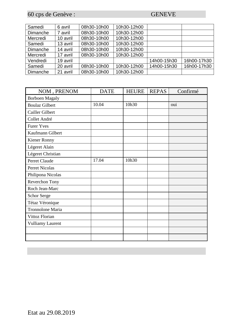60 cps de Genève : GENEVE

| Samedi   | 6 avril  | 08h30-10h00 | 10h30-12h00 |             |             |
|----------|----------|-------------|-------------|-------------|-------------|
| Dimanche | 7 avril  | 08h30-10h00 | 10h30-12h00 |             |             |
| Mercredi | 10 avril | 08h30-10h00 | 10h30-12h00 |             |             |
| Samedi   | 13 avril | 08h30-10h00 | 10h30-12h00 |             |             |
| Dimanche | 14 avril | 08h30-10h00 | 10h30-12h00 |             |             |
| Mercredi | 17 avril | 08h30-10h00 | 10h30-12h00 |             |             |
| Vendredi | 19 avril |             |             | 14h00-15h30 | 16h00-17h30 |
| Samedi   | 20 avril | 08h30-10h00 | 10h30-12h00 | 14h00-15h30 | 16h00-17h30 |
| Dimanche | 21 avril | 08h30-10h00 | 10h30-12h00 |             |             |

| NOM, PRENOM             | <b>DATE</b> | <b>HEURE</b> | <b>REPAS</b> | Confirmé |
|-------------------------|-------------|--------------|--------------|----------|
| <b>Borboen Magaly</b>   |             |              |              |          |
| <b>Boulaz Gilbert</b>   | 10.04       | 10h30        |              | oui      |
| Cailler Gilbert         |             |              |              |          |
| Collet André            |             |              |              |          |
| <b>Furer Yves</b>       |             |              |              |          |
| Kaufmann Gilbert        |             |              |              |          |
| Kiener Ronny            |             |              |              |          |
| Légeret Alain           |             |              |              |          |
| Légeret Christian       |             |              |              |          |
| Perret Claude           | 17.04       | 10h30        |              |          |
| Perret Nicolas          |             |              |              |          |
| Philipona Nicolas       |             |              |              |          |
| Reverchon Tony          |             |              |              |          |
| Roch Jean-Marc          |             |              |              |          |
| Schor Serge             |             |              |              |          |
| Tétaz Véronique         |             |              |              |          |
| Tronnolone Maria        |             |              |              |          |
| Vittoz Florian          |             |              |              |          |
| <b>Vulliamy Laurent</b> |             |              |              |          |
|                         |             |              |              |          |
|                         |             |              |              |          |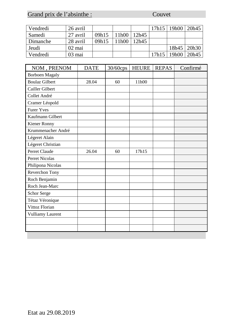# Grand prix de l'absinthe : Couvet

| Vendredi | 26 avril |       |                   |       | 17h15 | 19h00 | 20h45 |
|----------|----------|-------|-------------------|-------|-------|-------|-------|
| Samedi   | 27 avril | 09h15 | 11h <sub>00</sub> | 12h45 |       |       |       |
| Dimanche | 28 avril | 09h15 | 11h00             | 12h45 |       |       |       |
| Jeudi    | 02 mai   |       |                   |       |       | 18h45 | 20h30 |
| Vendredi | 03 mai   |       |                   |       | 17h15 | 19h00 | 20h45 |

| NOM, PRENOM           | <b>DATE</b> | 30/60cps | <b>HEURE</b> | <b>REPAS</b> | Confirmé |
|-----------------------|-------------|----------|--------------|--------------|----------|
| <b>Borboen Magaly</b> |             |          |              |              |          |
| <b>Boulaz Gilbert</b> | 28.04       | 60       | 11h00        |              |          |
| Cailler Gilbert       |             |          |              |              |          |
| Collet André          |             |          |              |              |          |
| Cramer Léopold        |             |          |              |              |          |
| <b>Furer Yves</b>     |             |          |              |              |          |
| Kaufmann Gilbert      |             |          |              |              |          |
| Kiener Ronny          |             |          |              |              |          |
| Krummenacher André    |             |          |              |              |          |
| Légeret Alain         |             |          |              |              |          |
| Légeret Christian     |             |          |              |              |          |
| Perret Claude         | 26.04       | 60       | 17h15        |              |          |
| <b>Perret Nicolas</b> |             |          |              |              |          |
| Philipona Nicolas     |             |          |              |              |          |
| Reverchon Tony        |             |          |              |              |          |
| Roch Benjamin         |             |          |              |              |          |
| Roch Jean-Marc        |             |          |              |              |          |
| <b>Schor Serge</b>    |             |          |              |              |          |
| Tétaz Véronique       |             |          |              |              |          |
| Vittoz Florian        |             |          |              |              |          |
| Vulliamy Laurent      |             |          |              |              |          |
|                       |             |          |              |              |          |
|                       |             |          |              |              |          |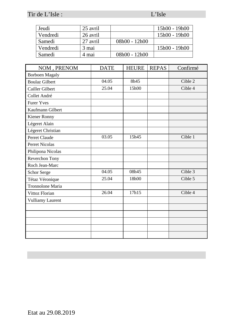Tir de L'Isle : L'Isle : L'Isle : L'Isle : L'Isle : L'Isle : L'Isle : L'Isle : L'Isle : L'Isle : L'Isle : L'Isle : L'Isle : L'Isle : L'Isle : L'Isle : L'Isle : L'Isle : L'Isle : L'Isle : L'Isle : L'Isle : L'Isle : L'Isle :

| Jeudi    | 25 avril |                 | 15h00 - 19h00 |
|----------|----------|-----------------|---------------|
| Vendredi | 26 avril |                 | 15h00 - 19h00 |
| Samedi   | 27 avril | $08h00 - 12h00$ |               |
| Vendredi | 3 mai    |                 | 15h00 - 19h00 |
| Samedi   | 4 mai    | $08h00 - 12h00$ |               |

| NOM, PRENOM             | <b>DATE</b> | <b>HEURE</b> | <b>REPAS</b> | Confirmé |
|-------------------------|-------------|--------------|--------------|----------|
| <b>Borboen Magaly</b>   |             |              |              |          |
| <b>Boulaz Gilbert</b>   | 04.05       | 8h45         |              | Cible 2  |
| Cailler Gilbert         | 25.04       | 15h00        |              | Cible 4  |
| Collet André            |             |              |              |          |
| <b>Furer Yves</b>       |             |              |              |          |
| Kaufmann Gilbert        |             |              |              |          |
| Kiener Ronny            |             |              |              |          |
| Légeret Alain           |             |              |              |          |
| Légeret Christian       |             |              |              |          |
| Perret Claude           | 03.05       | 15h45        |              | Cible 1  |
| <b>Perret Nicolas</b>   |             |              |              |          |
| Philipona Nicolas       |             |              |              |          |
| Reverchon Tony          |             |              |              |          |
| Roch Jean-Marc          |             |              |              |          |
| Schor Serge             | 04.05       | 08h45        |              | Cible 3  |
| Tétaz Véronique         | 25.04       | 18h00        |              | Cible 5  |
| Tronnolone Maria        |             |              |              |          |
| Vittoz Florian          | 26.04       | 17h15        |              | Cible 4  |
| <b>Vulliamy Laurent</b> |             |              |              |          |
|                         |             |              |              |          |
|                         |             |              |              |          |
|                         |             |              |              |          |
|                         |             |              |              |          |
|                         |             |              |              |          |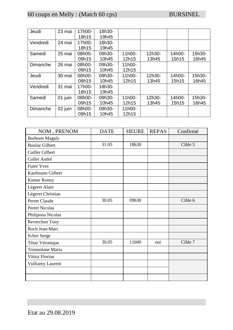# 60 coups en Melly : (Match 60 cps) BURSINEL

| Jeudi    | 23 mai  | 17h00- | 18h30- |        |        |        |        |
|----------|---------|--------|--------|--------|--------|--------|--------|
|          |         | 18h15  | 19h45  |        |        |        |        |
| Vendredi | 24 mai  | 17h00- | 18h30- |        |        |        |        |
|          |         | 18h15  | 19h45  |        |        |        |        |
| Samedi   | 25 mai  | 08h00- | 09h30- | 11h00- | 12h30- | 14h00- | 15h30- |
|          |         | 09h15  | 10h45  | 12h15  | 13h45  | 15h15  | 16h45  |
| Dimanche | 26 mai  | 08h00- | 09h30- | 11h00- |        |        |        |
|          |         | 09h15  | 10h45  | 12h15  |        |        |        |
| Jeudi    | 30 mai  | 08h00- | 09h30- | 11h00- | 12h30- | 14h00- | 15h30- |
|          |         | 09h15  | 10h45  | 12h15  | 13h45  | 15h15  | 16h45  |
| Vendredi | 31 mai  | 17h00- | 18h30- |        |        |        |        |
|          |         | 18h15  | 19h45  |        |        |        |        |
| Samedi   | 01 juin | 08h00- | 09h30- | 11h00- | 12h30- | 14h00- | 15h30- |
|          |         | 09h15  | 10h45  | 12h15  | 13h45  | 15h15  | 16h45  |
| Dimanche | 02 juin | 08h00- | 09h30- | 11h00- |        |        |        |
|          |         | 09h15  | 10h45  | 12h15  |        |        |        |

| NOM, PRENOM             | <b>DATE</b> | <b>HEURE</b> | <b>REPAS</b> | Confirmé |
|-------------------------|-------------|--------------|--------------|----------|
| <b>Borboen Magaly</b>   |             |              |              |          |
| <b>Boulaz Gilbert</b>   | 31.05       | 18h30        |              | Cible 5  |
| Cailler Gilbert         |             |              |              |          |
| Collet André            |             |              |              |          |
| <b>Furer Yves</b>       |             |              |              |          |
| Kaufmann Gilbert        |             |              |              |          |
| Kiener Ronny            |             |              |              |          |
| Légeret Alain           |             |              |              |          |
| Légeret Christian       |             |              |              |          |
| Perret Claude           | 30.05       | 09h30        |              | Cible 6  |
| Perret Nicolas          |             |              |              |          |
| Philipona Nicolas       |             |              |              |          |
| Reverchon Tony          |             |              |              |          |
| Roch Jean-Marc          |             |              |              |          |
| <b>Schor Serge</b>      |             |              |              |          |
| Tétaz Véronique         | 30.05       | 11h00        | oui          | Cible 7  |
| Tronnolone Maria        |             |              |              |          |
| Vittoz Florian          |             |              |              |          |
| <b>Vulliamy Laurent</b> |             |              |              |          |
|                         |             |              |              |          |
|                         |             |              |              |          |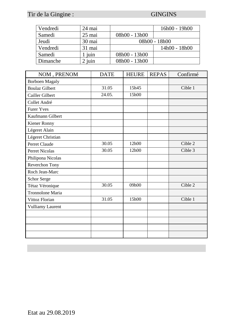# Tir de la Gingine : GINGINS

| Vendredi | 24 mai   |                 | 16h00 - 19h00 |  |
|----------|----------|-----------------|---------------|--|
| Samedi   | $25$ mai | $08h00 - 13h00$ |               |  |
| Jeudi    | 30 mai   | $08h00 - 18h00$ |               |  |
| Vendredi | 31 mai   |                 | 14h00 - 18h00 |  |
| Samedi   | juin     | 08h00 - 13h00   |               |  |
| Dimanche | juin     | 08h00 - 13h00   |               |  |

| NOM, PRENOM             | <b>DATE</b> | <b>HEURE</b> | <b>REPAS</b> | Confirmé |
|-------------------------|-------------|--------------|--------------|----------|
| <b>Borboen Magaly</b>   |             |              |              |          |
| <b>Boulaz Gilbert</b>   | 31.05       | 15h45        |              | Cible 1  |
| Cailler Gilbert         | 24.05.      | 15h00        |              |          |
| Collet André            |             |              |              |          |
| <b>Furer Yves</b>       |             |              |              |          |
| Kaufmann Gilbert        |             |              |              |          |
| Kiener Ronny            |             |              |              |          |
| Légeret Alain           |             |              |              |          |
| Légeret Christian       |             |              |              |          |
| Perret Claude           | 30.05       | 12h00        |              | Cible 2  |
| <b>Perret Nicolas</b>   | 30.05       | 12h00        |              | Cible 3  |
| Philipona Nicolas       |             |              |              |          |
| Reverchon Tony          |             |              |              |          |
| Roch Jean-Marc          |             |              |              |          |
| Schor Serge             |             |              |              |          |
| Tétaz Véronique         | 30.05       | 09h00        |              | Cible 2  |
| <b>Tronnolone Maria</b> |             |              |              |          |
| Vittoz Florian          | 31.05       | 15h00        |              | Cible 1  |
| <b>Vulliamy Laurent</b> |             |              |              |          |
|                         |             |              |              |          |
|                         |             |              |              |          |
|                         |             |              |              |          |
|                         |             |              |              |          |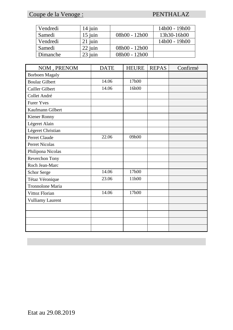### Coupe de la Venoge : PENTHALAZ

| Vendredi | $14$ juin |                 | 14h00 - 19h00 |
|----------|-----------|-----------------|---------------|
| Samedi   | $15$ juin | $08h00 - 12h00$ | 13h30-16h00   |
| Vendredi | $21$ juin |                 | 14h00 - 19h00 |
| Samedi   | 22 juin   | $08h00 - 12h00$ |               |
| Dimanche | $23$ juin | $08h00 - 12h00$ |               |

| NOM, PRENOM             | <b>DATE</b> | <b>HEURE</b> | <b>REPAS</b> | Confirmé |
|-------------------------|-------------|--------------|--------------|----------|
| <b>Borboen Magaly</b>   |             |              |              |          |
| <b>Boulaz Gilbert</b>   | 14.06       | 17h00        |              |          |
| Cailler Gilbert         | 14.06       | 16h00        |              |          |
| Collet André            |             |              |              |          |
| <b>Furer Yves</b>       |             |              |              |          |
| Kaufmann Gilbert        |             |              |              |          |
| Kiener Ronny            |             |              |              |          |
| Légeret Alain           |             |              |              |          |
| Légeret Christian       |             |              |              |          |
| Perret Claude           | 22.06       | 09h00        |              |          |
| Perret Nicolas          |             |              |              |          |
| Philipona Nicolas       |             |              |              |          |
| Reverchon Tony          |             |              |              |          |
| Roch Jean-Marc          |             |              |              |          |
| Schor Serge             | 14.06       | 17h00        |              |          |
| Tétaz Véronique         | 23.06       | 11h00        |              |          |
| Tronnolone Maria        |             |              |              |          |
| Vittoz Florian          | 14.06       | 17h00        |              |          |
| <b>Vulliamy Laurent</b> |             |              |              |          |
|                         |             |              |              |          |
|                         |             |              |              |          |
|                         |             |              |              |          |
|                         |             |              |              |          |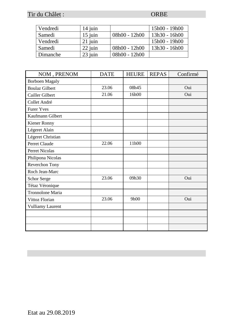### Tir du Châlet : ORBE

| Vendredi | $14$ juin |                 | 15h00 - 19h00   |
|----------|-----------|-----------------|-----------------|
| Samedi   | $15$ juin | $08h00 - 12h00$ | $13h30 - 16h00$ |
| Vendredi | $21$ juin |                 | $15h00 - 19h00$ |
| Samedi   | 22 juin   | 08h00 - 12h00   | $13h30 - 16h00$ |
| Dimanche | 23 juin   | $08h00 - 12h00$ |                 |

| NOM, PRENOM             | <b>DATE</b> | <b>HEURE</b> | <b>REPAS</b> | Confirmé |
|-------------------------|-------------|--------------|--------------|----------|
| <b>Borboen Magaly</b>   |             |              |              |          |
| <b>Boulaz Gilbert</b>   | 23.06       | 08h45        |              | Oui      |
| Cailler Gilbert         | 21.06       | 16h00        |              | Oui      |
| Collet André            |             |              |              |          |
| <b>Furer Yves</b>       |             |              |              |          |
| Kaufmann Gilbert        |             |              |              |          |
| Kiener Ronny            |             |              |              |          |
| Légeret Alain           |             |              |              |          |
| Légeret Christian       |             |              |              |          |
| Perret Claude           | 22.06       | 11h00        |              |          |
| <b>Perret Nicolas</b>   |             |              |              |          |
| Philipona Nicolas       |             |              |              |          |
| Reverchon Tony          |             |              |              |          |
| Roch Jean-Marc          |             |              |              |          |
| <b>Schor Serge</b>      | 23.06       | 09h30        |              | Oui      |
| Tétaz Véronique         |             |              |              |          |
| Tronnolone Maria        |             |              |              |          |
| Vittoz Florian          | 23.06       | 9h00         |              | Oui      |
| <b>Vulliamy Laurent</b> |             |              |              |          |
|                         |             |              |              |          |
|                         |             |              |              |          |
|                         |             |              |              |          |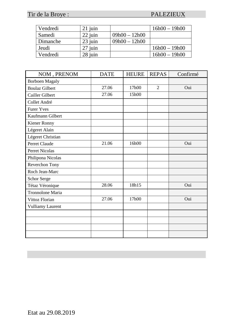### Tir de la Broye : PALEZIEUX

| Vendredi | $21$ juin |                 | $16h00 - 19h00$ |
|----------|-----------|-----------------|-----------------|
| Samedi   | 22 juin   | $09h00 - 12h00$ |                 |
| Dimanche | 23 juin   | $09h00 - 12h00$ |                 |
| Jeudi    | 27 juin   |                 | $16h00 - 19h00$ |
| Vendredi | $28$ juin |                 | $16h00 - 19h00$ |

| NOM, PRENOM             | <b>DATE</b> | <b>HEURE</b> | <b>REPAS</b>   | Confirmé |
|-------------------------|-------------|--------------|----------------|----------|
| <b>Borboen Magaly</b>   |             |              |                |          |
| <b>Boulaz Gilbert</b>   | 27.06       | 17h00        | $\overline{2}$ | Oui      |
| Cailler Gilbert         | 27.06       | 15h00        |                |          |
| Collet André            |             |              |                |          |
| <b>Furer Yves</b>       |             |              |                |          |
| Kaufmann Gilbert        |             |              |                |          |
| Kiener Ronny            |             |              |                |          |
| Légeret Alain           |             |              |                |          |
| Légeret Christian       |             |              |                |          |
| Perret Claude           | 21.06       | 16h00        |                | Oui      |
| <b>Perret Nicolas</b>   |             |              |                |          |
| Philipona Nicolas       |             |              |                |          |
| Reverchon Tony          |             |              |                |          |
| Roch Jean-Marc          |             |              |                |          |
| Schor Serge             |             |              |                |          |
| Tétaz Véronique         | 28.06       | 18h15        |                | Oui      |
| Tronnolone Maria        |             |              |                |          |
| Vittoz Florian          | 27.06       | 17h00        |                | Oui      |
| <b>Vulliamy Laurent</b> |             |              |                |          |
|                         |             |              |                |          |
|                         |             |              |                |          |
|                         |             |              |                |          |
|                         |             |              |                |          |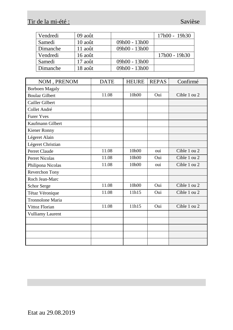# Tir de la mi-été : Savièse

| Vendredi | 09 août   |                 | 17h00 - 19h30 |
|----------|-----------|-----------------|---------------|
| Samedi   | $10$ août | $09h00 - 13h00$ |               |
| Dimanche | $11$ août | $09h00 - 13h00$ |               |
| Vendredi | $16$ août |                 | 17h00 - 19h30 |
| Samedi   | $17$ août | $09h00 - 13h00$ |               |
| Dimanche | 18 août   | $09h00 - 13h00$ |               |

| NOM, PRENOM             | <b>DATE</b> | <b>HEURE</b> | <b>REPAS</b> | Confirmé     |
|-------------------------|-------------|--------------|--------------|--------------|
| <b>Borboen Magaly</b>   |             |              |              |              |
| <b>Boulaz Gilbert</b>   | 11.08       | 10h00        | Oui          | Cible 1 ou 2 |
| Cailler Gilbert         |             |              |              |              |
| Collet André            |             |              |              |              |
| <b>Furer Yves</b>       |             |              |              |              |
| Kaufmann Gilbert        |             |              |              |              |
| Kiener Ronny            |             |              |              |              |
| Légeret Alain           |             |              |              |              |
| Légeret Christian       |             |              |              |              |
| Perret Claude           | 11.08       | 10h00        | oui          | Cible 1 ou 2 |
| <b>Perret Nicolas</b>   | 11.08       | 10h00        | Oui          | Cible 1 ou 2 |
| Philipona Nicolas       | 11.08       | 10h00        | oui          | Cible 1 ou 2 |
| Reverchon Tony          |             |              |              |              |
| Roch Jean-Marc          |             |              |              |              |
| Schor Serge             | 11.08       | 10h00        | Oui          | Cible 1 ou 2 |
| Tétaz Véronique         | 11.08       | 11h15        | Oui          | Cible 1 ou 2 |
| <b>Tronnolone Maria</b> |             |              |              |              |
| Vittoz Florian          | 11.08       | 11h15        | Oui          | Cible 1 ou 2 |
| <b>Vulliamy Laurent</b> |             |              |              |              |
|                         |             |              |              |              |
|                         |             |              |              |              |
|                         |             |              |              |              |
|                         |             |              |              |              |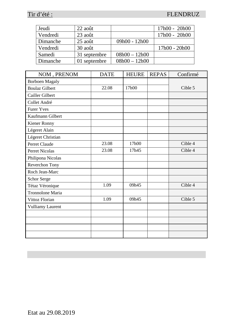### Tir d'été : FLENDRUZ

| Jeudi    | 22 août      |                 | $17h00 - 20h00$ |
|----------|--------------|-----------------|-----------------|
| Vendredi | 23 août      |                 | $17h00 - 20h00$ |
| Dimanche | $25$ août    | $09h00 - 12h00$ |                 |
| Vendredi | 30 août      |                 | 17h00 - 20h00   |
| Samedi   | 31 septembre | $08h00 - 12h00$ |                 |
| Dimanche | 01 septembre | $08h00 - 12h00$ |                 |

| NOM, PRENOM             | <b>DATE</b> | <b>HEURE</b> | <b>REPAS</b> | Confirmé |
|-------------------------|-------------|--------------|--------------|----------|
| <b>Borboen Magaly</b>   |             |              |              |          |
| <b>Boulaz Gilbert</b>   | 22.08       | 17h00        |              | Cible 5  |
| Cailler Gilbert         |             |              |              |          |
| Collet André            |             |              |              |          |
| <b>Furer Yves</b>       |             |              |              |          |
| Kaufmann Gilbert        |             |              |              |          |
| Kiener Ronny            |             |              |              |          |
| Légeret Alain           |             |              |              |          |
| Légeret Christian       |             |              |              |          |
| Perret Claude           | 23.08       | 17h00        |              | Cible 4  |
| <b>Perret Nicolas</b>   | 23.08       | 17h45        |              | Cible 4  |
| Philipona Nicolas       |             |              |              |          |
| Reverchon Tony          |             |              |              |          |
| Roch Jean-Marc          |             |              |              |          |
| Schor Serge             |             |              |              |          |
| Tétaz Véronique         | 1.09        | 09h45        |              | Cible 4  |
| Tronnolone Maria        |             |              |              |          |
| Vittoz Florian          | 1.09        | 09h45        |              | Cible 5  |
| <b>Vulliamy Laurent</b> |             |              |              |          |
|                         |             |              |              |          |
|                         |             |              |              |          |
|                         |             |              |              |          |
|                         |             |              |              |          |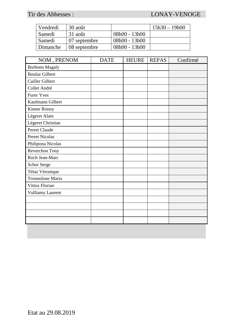### Tir des Abbesses : LONAY-VENOGE

| Vendredi | 30 août      |                 | $15h30 - 19h00$ |
|----------|--------------|-----------------|-----------------|
| Samedi   | 31 août      | 08h00 - 13h00   |                 |
| Samedi   | 07 septembre | 08h00 - 13h00   |                 |
| Dimanche | 08 septembre | $08h00 - 13h00$ |                 |

| NOM, PRENOM             | <b>DATE</b> | <b>HEURE</b> | <b>REPAS</b> | Confirmé |
|-------------------------|-------------|--------------|--------------|----------|
| <b>Borboen Magaly</b>   |             |              |              |          |
| <b>Boulaz Gilbert</b>   |             |              |              |          |
| Cailler Gilbert         |             |              |              |          |
| Collet André            |             |              |              |          |
| <b>Furer Yves</b>       |             |              |              |          |
| Kaufmann Gilbert        |             |              |              |          |
| Kiener Ronny            |             |              |              |          |
| Légeret Alain           |             |              |              |          |
| Légeret Christian       |             |              |              |          |
| Perret Claude           |             |              |              |          |
| Perret Nicolas          |             |              |              |          |
| Philipona Nicolas       |             |              |              |          |
| Reverchon Tony          |             |              |              |          |
| Roch Jean-Marc          |             |              |              |          |
| Schor Serge             |             |              |              |          |
| Tétaz Véronique         |             |              |              |          |
| Tronnolone Maria        |             |              |              |          |
| Vittoz Florian          |             |              |              |          |
| <b>Vulliamy Laurent</b> |             |              |              |          |
|                         |             |              |              |          |
|                         |             |              |              |          |
|                         |             |              |              |          |
|                         |             |              |              |          |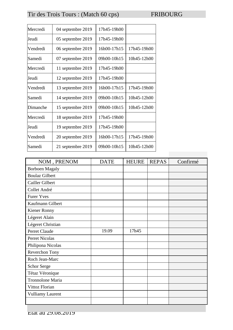# Tir des Trois Tours : (Match 60 cps) FRIBOURG

| Mercredi | 04 septembre 2019 | 17h45-19h00 |             |
|----------|-------------------|-------------|-------------|
| Jeudi    | 05 septembre 2019 | 17h45-19h00 |             |
| Vendredi | 06 septembre 2019 | 16h00-17h15 | 17h45-19h00 |
| Samedi   | 07 septembre 2019 | 09h00-10h15 | 10h45-12h00 |
| Mercredi | 11 septembre 2019 | 17h45-19h00 |             |
| Jeudi    | 12 septembre 2019 | 17h45-19h00 |             |
| Vendredi | 13 septembre 2019 | 16h00-17h15 | 17h45-19h00 |
| Samedi   | 14 septembre 2019 | 09h00-10h15 | 10h45-12h00 |
| Dimanche | 15 septembre 2019 | 09h00-10h15 | 10h45-12h00 |
| Mercredi | 18 septembre 2019 | 17h45-19h00 |             |
| Jeudi    | 19 septembre 2019 | 17h45-19h00 |             |
| Vendredi | 20 septembre 2019 | 16h00-17h15 | 17h45-19h00 |
| Samedi   | 21 septembre 2019 | 09h00-10h15 | 10h45-12h00 |

| NOM, PRENOM             | <b>DATE</b> | <b>HEURE</b> | <b>REPAS</b> | Confirmé |
|-------------------------|-------------|--------------|--------------|----------|
| <b>Borboen Magaly</b>   |             |              |              |          |
| <b>Boulaz Gilbert</b>   |             |              |              |          |
| Cailler Gilbert         |             |              |              |          |
| Collet André            |             |              |              |          |
| <b>Furer Yves</b>       |             |              |              |          |
| Kaufmann Gilbert        |             |              |              |          |
| Kiener Ronny            |             |              |              |          |
| Légeret Alain           |             |              |              |          |
| Légeret Christian       |             |              |              |          |
| Perret Claude           | 19.09       | 17h45        |              |          |
| <b>Perret Nicolas</b>   |             |              |              |          |
| Philipona Nicolas       |             |              |              |          |
| Reverchon Tony          |             |              |              |          |
| Roch Jean-Marc          |             |              |              |          |
| <b>Schor Serge</b>      |             |              |              |          |
| Tétaz Véronique         |             |              |              |          |
| Tronnolone Maria        |             |              |              |          |
| Vittoz Florian          |             |              |              |          |
| <b>Vulliamy Laurent</b> |             |              |              |          |
|                         |             |              |              |          |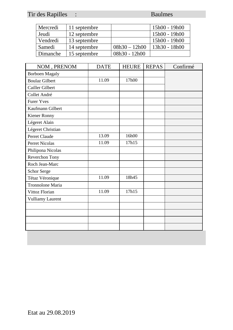# Tir des Rapilles : Baulmes

| Mercredi | 11 septembre |                 | 15h00 - 19h00   |
|----------|--------------|-----------------|-----------------|
| Jeudi    | 12 septembre |                 | 15h00 - 19h00   |
| Vendredi | 13 septembre |                 | 15h00 - 19h00   |
| Samedi   | 14 septembre | $08h30 - 12h00$ | $13h30 - 18h00$ |
| Dimanche | 15 septembre | $08h30 - 12h00$ |                 |

| NOM, PRENOM             | <b>DATE</b> | <b>HEURE</b> | <b>REPAS</b> | Confirmé |
|-------------------------|-------------|--------------|--------------|----------|
| <b>Borboen Magaly</b>   |             |              |              |          |
| <b>Boulaz Gilbert</b>   | 11.09       | 17h00        |              |          |
| Cailler Gilbert         |             |              |              |          |
| Collet André            |             |              |              |          |
| <b>Furer Yves</b>       |             |              |              |          |
| Kaufmann Gilbert        |             |              |              |          |
| Kiener Ronny            |             |              |              |          |
| Légeret Alain           |             |              |              |          |
| Légeret Christian       |             |              |              |          |
| Perret Claude           | 13.09       | 16h00        |              |          |
| <b>Perret Nicolas</b>   | 11.09       | 17h15        |              |          |
| Philipona Nicolas       |             |              |              |          |
| Reverchon Tony          |             |              |              |          |
| Roch Jean-Marc          |             |              |              |          |
| Schor Serge             |             |              |              |          |
| Tétaz Véronique         | 11.09       | 18h45        |              |          |
| Tronnolone Maria        |             |              |              |          |
| Vittoz Florian          | 11.09       | 17h15        |              |          |
| <b>Vulliamy Laurent</b> |             |              |              |          |
|                         |             |              |              |          |
|                         |             |              |              |          |
|                         |             |              |              |          |
|                         |             |              |              |          |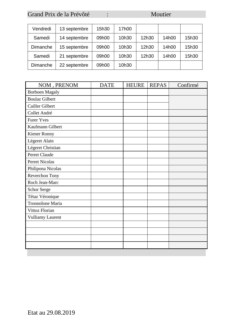### Grand Prix de la Prévôté : Moutier

| Vendredi | 13 septembre | 15h30 | 17h00 |       |       |       |
|----------|--------------|-------|-------|-------|-------|-------|
| Samedi   | 14 septembre | 09h00 | 10h30 | 12h30 | 14h00 | 15h30 |
| Dimanche | 15 septembre | 09h00 | 10h30 | 12h30 | 14h00 | 15h30 |
| Samedi   | 21 septembre | 09h00 | 10h30 | 12h30 | 14h00 | 15h30 |
| Dimanche | 22 septembre | 09h00 | 10h30 |       |       |       |

| NOM, PRENOM             | <b>DATE</b> | <b>HEURE</b> | <b>REPAS</b> | Confirmé |
|-------------------------|-------------|--------------|--------------|----------|
| <b>Borboen Magaly</b>   |             |              |              |          |
| <b>Boulaz Gilbert</b>   |             |              |              |          |
| Cailler Gilbert         |             |              |              |          |
| Collet André            |             |              |              |          |
| <b>Furer Yves</b>       |             |              |              |          |
| Kaufmann Gilbert        |             |              |              |          |
| Kiener Ronny            |             |              |              |          |
| Légeret Alain           |             |              |              |          |
| Légeret Christian       |             |              |              |          |
| Perret Claude           |             |              |              |          |
| <b>Perret Nicolas</b>   |             |              |              |          |
| Philipona Nicolas       |             |              |              |          |
| Reverchon Tony          |             |              |              |          |
| Roch Jean-Marc          |             |              |              |          |
| Schor Serge             |             |              |              |          |
| Tétaz Véronique         |             |              |              |          |
| Tronnolone Maria        |             |              |              |          |
| Vittoz Florian          |             |              |              |          |
| <b>Vulliamy Laurent</b> |             |              |              |          |
|                         |             |              |              |          |
|                         |             |              |              |          |
|                         |             |              |              |          |
|                         |             |              |              |          |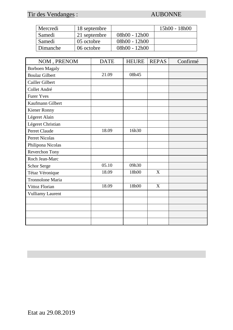### Tir des Vendanges : AUBONNE

| Mercredi | 18 septembre       |                 | 15h00 - 18h00 |
|----------|--------------------|-----------------|---------------|
| Samedi   | 21 septembre       | 08h00 - 12h00   |               |
| Samedi   | $\vert$ 05 octobre | $08h00 - 12h00$ |               |
| Dimanche | 06 octobre         | $08h00 - 12h00$ |               |

| NOM, PRENOM             | <b>DATE</b> | <b>HEURE</b> | <b>REPAS</b> | Confirmé |
|-------------------------|-------------|--------------|--------------|----------|
| <b>Borboen Magaly</b>   |             |              |              |          |
| <b>Boulaz Gilbert</b>   | 21.09       | 08h45        |              |          |
| Cailler Gilbert         |             |              |              |          |
| Collet André            |             |              |              |          |
| <b>Furer Yves</b>       |             |              |              |          |
| Kaufmann Gilbert        |             |              |              |          |
| Kiener Ronny            |             |              |              |          |
| Légeret Alain           |             |              |              |          |
| Légeret Christian       |             |              |              |          |
| Perret Claude           | 18.09       | 16h30        |              |          |
| <b>Perret Nicolas</b>   |             |              |              |          |
| Philipona Nicolas       |             |              |              |          |
| Reverchon Tony          |             |              |              |          |
| Roch Jean-Marc          |             |              |              |          |
| <b>Schor Serge</b>      | 05.10       | 09h30        |              |          |
| Tétaz Véronique         | 18.09       | 18h00        | X            |          |
| Tronnolone Maria        |             |              |              |          |
| Vittoz Florian          | 18.09       | 18h00        | X            |          |
| <b>Vulliamy Laurent</b> |             |              |              |          |
|                         |             |              |              |          |
|                         |             |              |              |          |
|                         |             |              |              |          |
|                         |             |              |              |          |